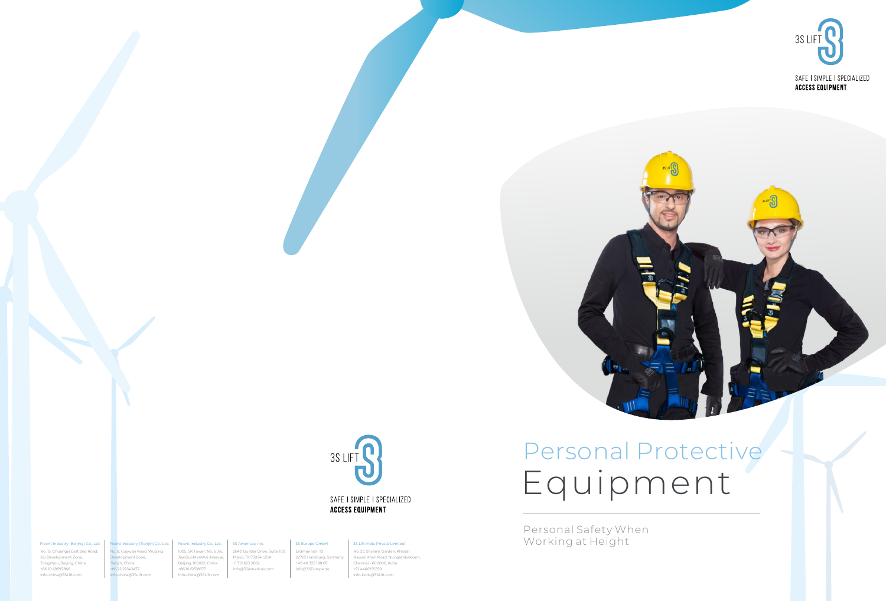



# **ACCESS EQUIPMENT**

Personal Safety When Working at Height



**ACCESS EQUIPMENT** 

No. 15, Chuangyi East 2nd Road, Xiji Development Zone, Tongzhou, Beijing, China +86 10 69597866 info-china@3SLift.com

#### Ficont Industry (Beijing) Co., Ltd.

Tianjin, China +86 22 22140477 2840 Guilder Drive, Suite 100 Plano, TX 75074, USA +1 312 623 2662 info@3SAmericas.com Erdmannstr. 10 22765 Hamburg, Germ +49 40 325 188 87 info@3SEurope.de

#### 3S Americas, Inc. 3S Europe GmbH

No. 8, Cuiyuan Road, Wuqing Development Zone, info-china@3SLift.com 1005, SK Tower, No. 6 Jia, JianGuoMenWai Avenue, Beijing, 100022, China +86 10 61518677 info-china@3SLift.com

#### Ficont Industry (Tianjin) Co., Ltd. Ficont Industry Co., Ltd.

No. 2C Shyams Garden, Khadar Nawaz Khan Road, Nungambakkam, Chennai - 600006, India +91 4466255559 info-india@3SLift.com

### 3S Lift India Private Limited

# Personal Protective Equipment